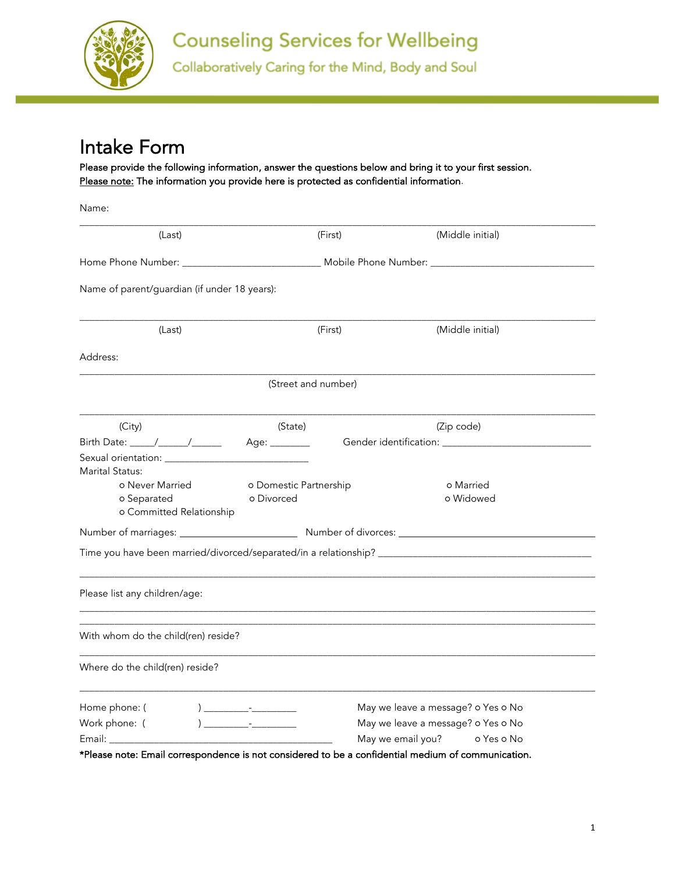

Intake Form<br>Please provide the following information, answer the questions below and bring it to your first session. Please note: The information you provide here is protected as confidential information.

| Name:                                                                                              |                                                                    |         |                                              |
|----------------------------------------------------------------------------------------------------|--------------------------------------------------------------------|---------|----------------------------------------------|
| (Last)                                                                                             |                                                                    | (First) | (Middle initial)                             |
|                                                                                                    |                                                                    |         | Mobile Phone Number: _______________________ |
| Name of parent/guardian (if under 18 years):                                                       |                                                                    |         |                                              |
| (Last)                                                                                             |                                                                    | (First) | (Middle initial)                             |
| Address:                                                                                           |                                                                    |         |                                              |
|                                                                                                    | (Street and number)                                                |         |                                              |
| (City)                                                                                             | (State)                                                            |         | (Zip code)                                   |
| Birth Date: _____/______/_______<br>Sexual orientation: ________________<br><b>Marital Status:</b> | Age: _______                                                       |         |                                              |
| o Never Married<br>o Separated<br>o Committed Relationship                                         | o Domestic Partnership<br>o Divorced                               |         | o Married<br>o Widowed                       |
|                                                                                                    |                                                                    |         |                                              |
|                                                                                                    |                                                                    |         |                                              |
| Please list any children/age:                                                                      |                                                                    |         |                                              |
| With whom do the child(ren) reside?                                                                |                                                                    |         |                                              |
| Where do the child(ren) reside?                                                                    |                                                                    |         |                                              |
| Home phone: (                                                                                      |                                                                    |         | May we leave a message? o Yes o No           |
| Work phone: (<br>Email: _________                                                                  | May we leave a message? o Yes o No<br>May we email you? o Yes o No |         |                                              |
| *Please note: Email correspondence is not considered to be a confidential medium of communication. |                                                                    |         |                                              |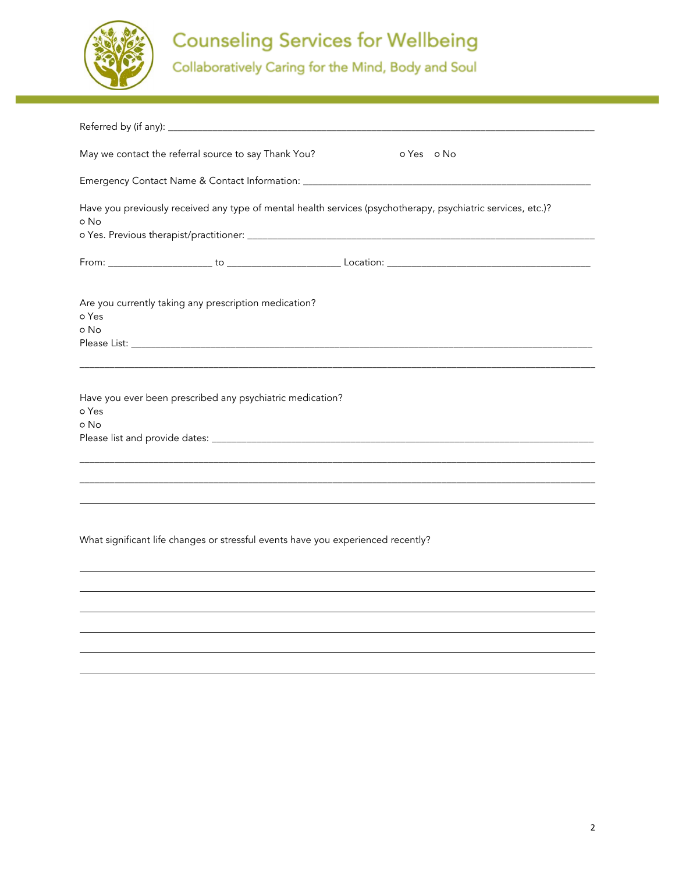

# **Counseling Services for Wellbeing**

Collaboratively Caring for the Mind, Body and Soul

|               | May we contact the referral source to say Thank You?      |                                                                                                                                                                                                                                | o Yes o No                                                                                                   |  |
|---------------|-----------------------------------------------------------|--------------------------------------------------------------------------------------------------------------------------------------------------------------------------------------------------------------------------------|--------------------------------------------------------------------------------------------------------------|--|
|               |                                                           |                                                                                                                                                                                                                                |                                                                                                              |  |
| o No          |                                                           |                                                                                                                                                                                                                                | Have you previously received any type of mental health services (psychotherapy, psychiatric services, etc.)? |  |
|               |                                                           |                                                                                                                                                                                                                                |                                                                                                              |  |
| o Yes<br>o No | Are you currently taking any prescription medication?     | Please List: North American State of the Communication of the Communication of the Communication of the Communication of the Communication of the Communication of the Communication of the Communication of the Communication |                                                                                                              |  |
| o Yes<br>o No | Have you ever been prescribed any psychiatric medication? |                                                                                                                                                                                                                                |                                                                                                              |  |
|               |                                                           |                                                                                                                                                                                                                                |                                                                                                              |  |
|               |                                                           | What significant life changes or stressful events have you experienced recently?                                                                                                                                               |                                                                                                              |  |
|               |                                                           |                                                                                                                                                                                                                                |                                                                                                              |  |
|               |                                                           |                                                                                                                                                                                                                                |                                                                                                              |  |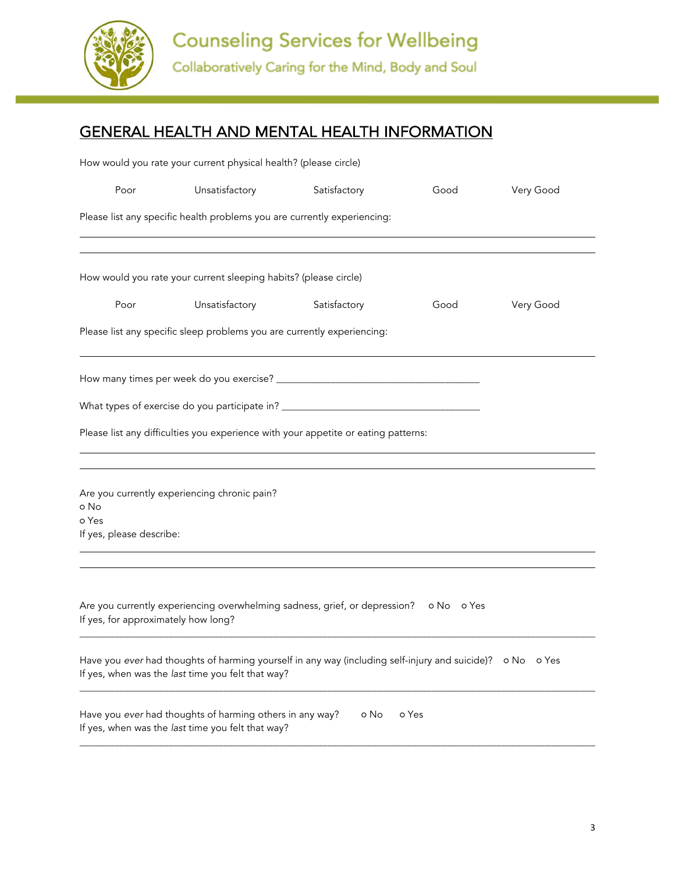

# GENERAL HEALTH AND MENTAL HEALTH INFORMATION

|                                           | How would you rate your current physical health? (please circle)                                                                                    |              |       |               |
|-------------------------------------------|-----------------------------------------------------------------------------------------------------------------------------------------------------|--------------|-------|---------------|
| Poor                                      | Unsatisfactory                                                                                                                                      | Satisfactory | Good  | Very Good     |
|                                           | Please list any specific health problems you are currently experiencing:                                                                            |              |       |               |
|                                           | How would you rate your current sleeping habits? (please circle)                                                                                    |              |       |               |
| Poor                                      | Unsatisfactory                                                                                                                                      | Satisfactory | Good  | Very Good     |
|                                           | Please list any specific sleep problems you are currently experiencing:                                                                             |              |       |               |
|                                           |                                                                                                                                                     |              |       |               |
|                                           | What types of exercise do you participate in? __________________________________                                                                    |              |       |               |
|                                           | Please list any difficulties you experience with your appetite or eating patterns:                                                                  |              |       |               |
|                                           |                                                                                                                                                     |              |       |               |
| o No<br>o Yes<br>If yes, please describe: | Are you currently experiencing chronic pain?                                                                                                        |              |       |               |
| If yes, for approximately how long?       | Are you currently experiencing overwhelming sadness, grief, or depression? o No o Yes                                                               |              |       |               |
|                                           | Have you ever had thoughts of harming yourself in any way (including self-injury and suicide)?<br>If yes, when was the last time you felt that way? |              |       | o No<br>o Yes |
|                                           | Have you ever had thoughts of harming others in any way?<br>If yes, when was the last time you felt that way?                                       | o No         | o Yes |               |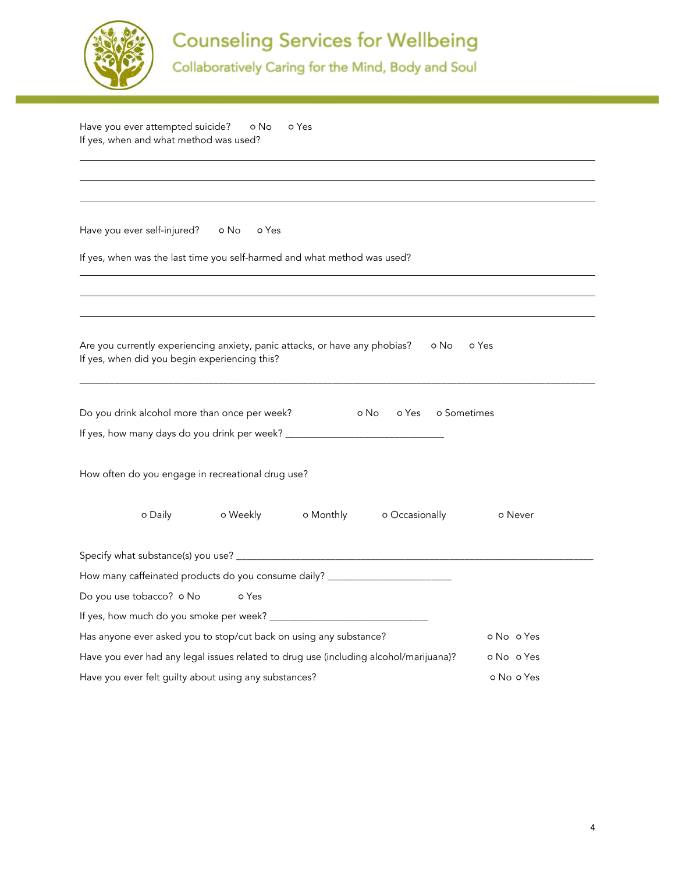

Have you ever attempted suicide? o No o Yes If yes, when and what method was used?

Have you ever self-injured? o No o Yes

If yes, when was the last time you self-harmed and what method was used?

| Are you currently experiencing anxiety, panic attacks, or have any phobias? | oNo oYes |  |
|-----------------------------------------------------------------------------|----------|--|
| If yes, when did you begin experiencing this?                               |          |  |

| Do you drink alcohol more than once per week? |  | o No o Yes o Sometimes |  |
|-----------------------------------------------|--|------------------------|--|
| If yes, how many days do you drink per week?  |  |                        |  |

How often do you engage in recreational drug use?

| o Daily                                                    | o Weekly | o Monthly                                                          | o Occasionally                                                                        | o Never    |  |
|------------------------------------------------------------|----------|--------------------------------------------------------------------|---------------------------------------------------------------------------------------|------------|--|
|                                                            |          |                                                                    |                                                                                       |            |  |
| Specify what substance(s) you use? ___________             |          |                                                                    |                                                                                       |            |  |
| How many caffeinated products do you consume daily? ______ |          |                                                                    |                                                                                       |            |  |
| Do you use tobacco? o No                                   | o Yes    |                                                                    |                                                                                       |            |  |
| If yes, how much do you smoke per week? _____              |          |                                                                    |                                                                                       |            |  |
|                                                            |          | Has anyone ever asked you to stop/cut back on using any substance? |                                                                                       | o No o Yes |  |
|                                                            |          |                                                                    | Have you ever had any legal issues related to drug use (including alcohol/marijuana)? | o No o Yes |  |
| Have you ever felt guilty about using any substances?      |          |                                                                    |                                                                                       | o No o Yes |  |

\_\_\_\_\_\_\_\_\_\_\_\_\_\_\_\_\_\_\_\_\_\_\_\_\_\_\_\_\_\_\_\_\_\_\_\_\_\_\_\_\_\_\_\_\_\_\_\_\_\_\_\_\_\_\_\_\_\_\_\_\_\_\_\_\_\_\_\_\_\_\_\_\_\_\_\_\_\_\_\_\_\_\_\_\_\_\_\_\_\_\_\_\_\_\_\_\_\_\_\_\_\_\_\_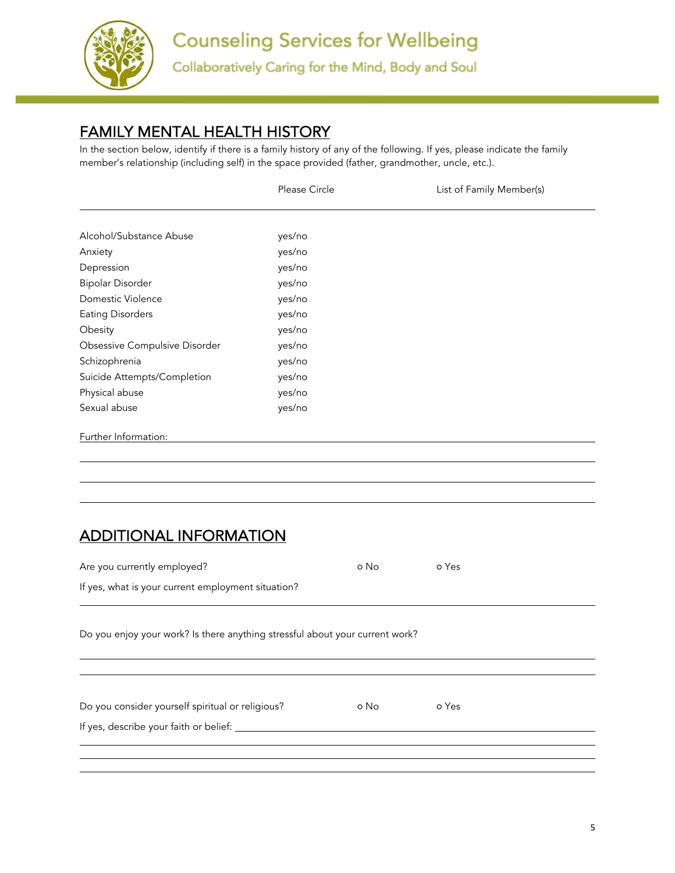

## FAMILY MENTAL HEALTH HISTORY

In the section below, identify if there is a family history of any of the following. If yes, please indicate the family member's relationship (including self) in the space provided (father, grandmother, uncle, etc.).

|                                                                                      | Please Circle |      | List of Family Member(s) |
|--------------------------------------------------------------------------------------|---------------|------|--------------------------|
|                                                                                      |               |      |                          |
| Alcohol/Substance Abuse                                                              | yes/no        |      |                          |
| Anxiety                                                                              | yes/no        |      |                          |
| Depression                                                                           | yes/no        |      |                          |
| <b>Bipolar Disorder</b>                                                              | yes/no        |      |                          |
| Domestic Violence                                                                    | yes/no        |      |                          |
| <b>Eating Disorders</b>                                                              | yes/no        |      |                          |
| Obesity                                                                              | yes/no        |      |                          |
| Obsessive Compulsive Disorder                                                        | yes/no        |      |                          |
| Schizophrenia                                                                        | yes/no        |      |                          |
| Suicide Attempts/Completion                                                          | yes/no        |      |                          |
| Physical abuse                                                                       | yes/no        |      |                          |
| Sexual abuse                                                                         | yes/no        |      |                          |
| Further Information:<br><b>ADDITIONAL INFORMATION</b><br>Are you currently employed? |               | o No | o Yes                    |
| If yes, what is your current employment situation?                                   |               |      |                          |
| Do you enjoy your work? Is there anything stressful about your current work?         |               |      |                          |
| Do you consider yourself spiritual or religious?                                     |               | o No | o Yes                    |
|                                                                                      |               |      |                          |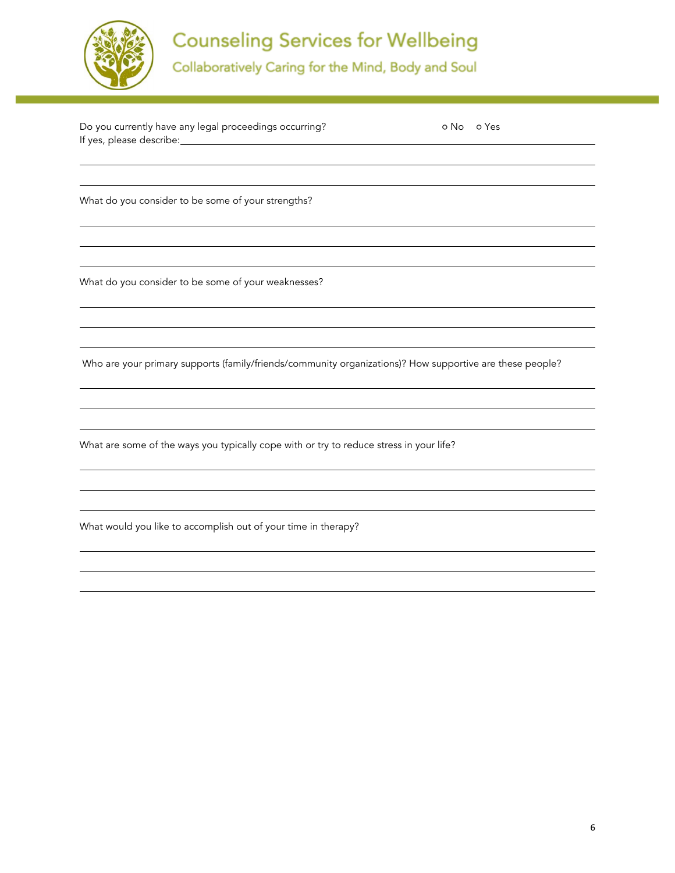

| Do you currently have any legal proceedings occurring? | o No o Yes |
|--------------------------------------------------------|------------|
|                                                        |            |
| What do you consider to be some of your strengths?     |            |
|                                                        |            |
|                                                        |            |
| What do you consider to be some of your weaknesses?    |            |
|                                                        |            |

Who are your primary supports (family/friends/community organizations)? How supportive are these people?

What are some of the ways you typically cope with or try to reduce stress in your life?

What would you like to accomplish out of your time in therapy?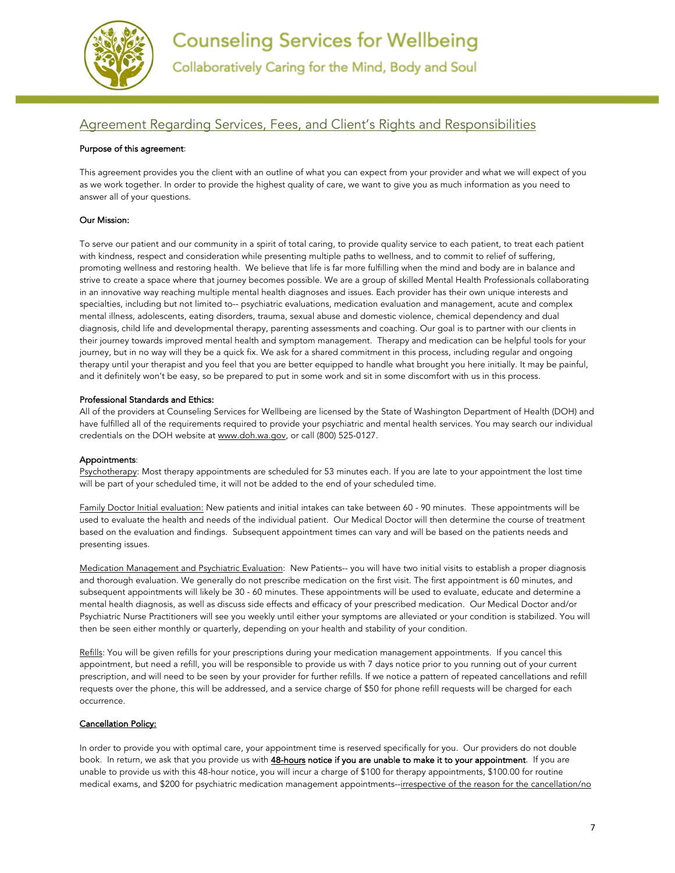

### Agreement Regarding Services, Fees, and Client's Rights and Responsibilities

#### Purpose of this agreement:

This agreement provides you the client with an outline of what you can expect from your provider and what we will expect of you as we work together. In order to provide the highest quality of care, we want to give you as much information as you need to answer all of your questions.

#### Our Mission:

To serve our patient and our community in a spirit of total caring, to provide quality service to each patient, to treat each patient with kindness, respect and consideration while presenting multiple paths to wellness, and to commit to relief of suffering, promoting wellness and restoring health. We believe that life is far more fulfilling when the mind and body are in balance and strive to create a space where that journey becomes possible. We are a group of skilled Mental Health Professionals collaborating in an innovative way reaching multiple mental health diagnoses and issues. Each provider has their own unique interests and specialties, including but not limited to-- psychiatric evaluations, medication evaluation and management, acute and complex mental illness, adolescents, eating disorders, trauma, sexual abuse and domestic violence, chemical dependency and dual diagnosis, child life and developmental therapy, parenting assessments and coaching. Our goal is to partner with our clients in their journey towards improved mental health and symptom management. Therapy and medication can be helpful tools for your journey, but in no way will they be a quick fix. We ask for a shared commitment in this process, including regular and ongoing therapy until your therapist and you feel that you are better equipped to handle what brought you here initially. It may be painful, and it definitely won't be easy, so be prepared to put in some work and sit in some discomfort with us in this process.

#### Professional Standards and Ethics:

All of the providers at Counseling Services for Wellbeing are licensed by the State of Washington Department of Health (DOH) and have fulfilled all of the requirements required to provide your psychiatric and mental health services. You may search our individual credentials on the DOH website at www.doh.wa.gov, or call (800) 525-0127.

#### Appointments:

Psychotherapy: Most therapy appointments are scheduled for 53 minutes each. If you are late to your appointment the lost time will be part of your scheduled time, it will not be added to the end of your scheduled time.

Family Doctor Initial evaluation: New patients and initial intakes can take between 60 - 90 minutes. These appointments will be used to evaluate the health and needs of the individual patient. Our Medical Doctor will then determine the course of treatment based on the evaluation and findings. Subsequent appointment times can vary and will be based on the patients needs and presenting issues.

Medication Management and Psychiatric Evaluation: New Patients-- you will have two initial visits to establish a proper diagnosis and thorough evaluation. We generally do not prescribe medication on the first visit. The first appointment is 60 minutes, and subsequent appointments will likely be 30 - 60 minutes. These appointments will be used to evaluate, educate and determine a mental health diagnosis, as well as discuss side effects and efficacy of your prescribed medication. Our Medical Doctor and/or Psychiatric Nurse Practitioners will see you weekly until either your symptoms are alleviated or your condition is stabilized. You will then be seen either monthly or quarterly, depending on your health and stability of your condition.

Refills: You will be given refills for your prescriptions during your medication management appointments. If you cancel this appointment, but need a refill, you will be responsible to provide us with 7 days notice prior to you running out of your current prescription, and will need to be seen by your provider for further refills. If we notice a pattern of repeated cancellations and refill requests over the phone, this will be addressed, and a service charge of \$50 for phone refill requests will be charged for each occurrence.

#### Cancellation Policy:

In order to provide you with optimal care, your appointment time is reserved specifically for you. Our providers do not double book. In return, we ask that you provide us with 48-hours notice if you are unable to make it to your appointment. If you are unable to provide us with this 48-hour notice, you will incur a charge of \$100 for therapy appointments, \$100.00 for routine medical exams, and \$200 for psychiatric medication management appointments--irrespective of the reason for the cancellation/no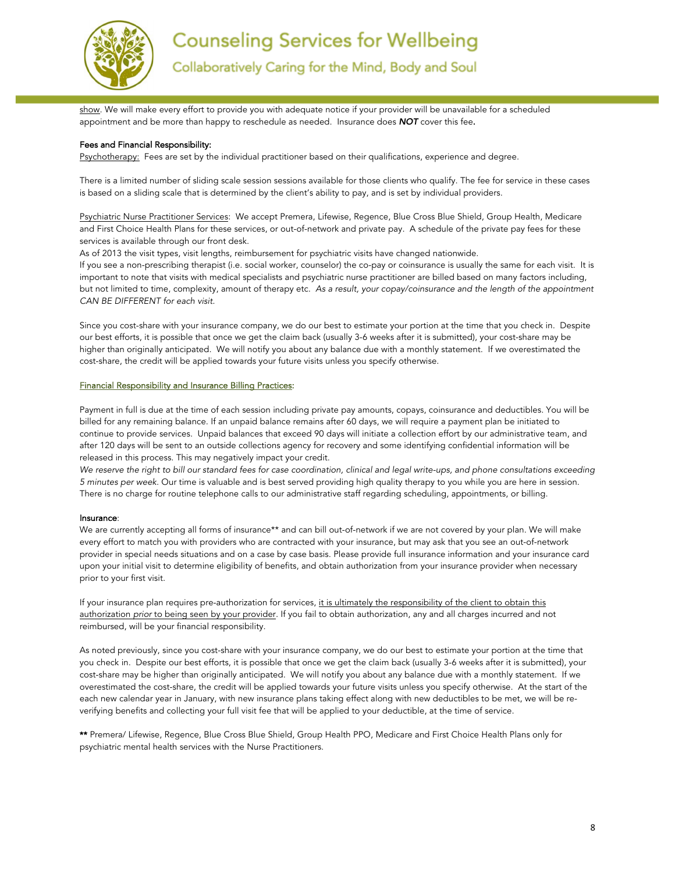

show. We will make every effort to provide you with adequate notice if your provider will be unavailable for a scheduled appointment and be more than happy to reschedule as needed. Insurance does *NOT* cover this fee.

#### Fees and Financial Responsibility:

Psychotherapy: Fees are set by the individual practitioner based on their qualifications, experience and degree.

There is a limited number of sliding scale session sessions available for those clients who qualify. The fee for service in these cases is based on a sliding scale that is determined by the client's ability to pay, and is set by individual providers.

Psychiatric Nurse Practitioner Services: We accept Premera, Lifewise, Regence, Blue Cross Blue Shield, Group Health, Medicare and First Choice Health Plans for these services, or out-of-network and private pay. A schedule of the private pay fees for these services is available through our front desk.

As of 2013 the visit types, visit lengths, reimbursement for psychiatric visits have changed nationwide.

If you see a non-prescribing therapist (i.e. social worker, counselor) the co-pay or coinsurance is usually the same for each visit. It is important to note that visits with medical specialists and psychiatric nurse practitioner are billed based on many factors including, but not limited to time, complexity, amount of therapy etc. *As a result, your copay/coinsurance and the length of the appointment CAN BE DIFFERENT for each visit.* 

Since you cost-share with your insurance company, we do our best to estimate your portion at the time that you check in. Despite our best efforts, it is possible that once we get the claim back (usually 3-6 weeks after it is submitted), your cost-share may be higher than originally anticipated. We will notify you about any balance due with a monthly statement. If we overestimated the cost-share, the credit will be applied towards your future visits unless you specify otherwise.

#### Financial Responsibility and Insurance Billing Practices:

Payment in full is due at the time of each session including private pay amounts, copays, coinsurance and deductibles. You will be billed for any remaining balance. If an unpaid balance remains after 60 days, we will require a payment plan be initiated to continue to provide services. Unpaid balances that exceed 90 days will initiate a collection effort by our administrative team, and after 120 days will be sent to an outside collections agency for recovery and some identifying confidential information will be released in this process. This may negatively impact your credit.

*We reserve the right to bill our standard fees for case coordination, clinical and legal write-ups, and phone consultations exceeding 5 minutes per week*. Our time is valuable and is best served providing high quality therapy to you while you are here in session. There is no charge for routine telephone calls to our administrative staff regarding scheduling, appointments, or billing.

#### Insurance:

We are currently accepting all forms of insurance\*\* and can bill out-of-network if we are not covered by your plan. We will make every effort to match you with providers who are contracted with your insurance, but may ask that you see an out-of-network provider in special needs situations and on a case by case basis. Please provide full insurance information and your insurance card upon your initial visit to determine eligibility of benefits, and obtain authorization from your insurance provider when necessary prior to your first visit.

If your insurance plan requires pre-authorization for services, it is ultimately the responsibility of the client to obtain this authorization *prior* to being seen by your provider. If you fail to obtain authorization, any and all charges incurred and not reimbursed, will be your financial responsibility.

As noted previously, since you cost-share with your insurance company, we do our best to estimate your portion at the time that you check in. Despite our best efforts, it is possible that once we get the claim back (usually 3-6 weeks after it is submitted), your cost-share may be higher than originally anticipated. We will notify you about any balance due with a monthly statement. If we overestimated the cost-share, the credit will be applied towards your future visits unless you specify otherwise. At the start of the each new calendar year in January, with new insurance plans taking effect along with new deductibles to be met, we will be reverifying benefits and collecting your full visit fee that will be applied to your deductible, at the time of service.

\*\* Premera/ Lifewise, Regence, Blue Cross Blue Shield, Group Health PPO, Medicare and First Choice Health Plans only for psychiatric mental health services with the Nurse Practitioners.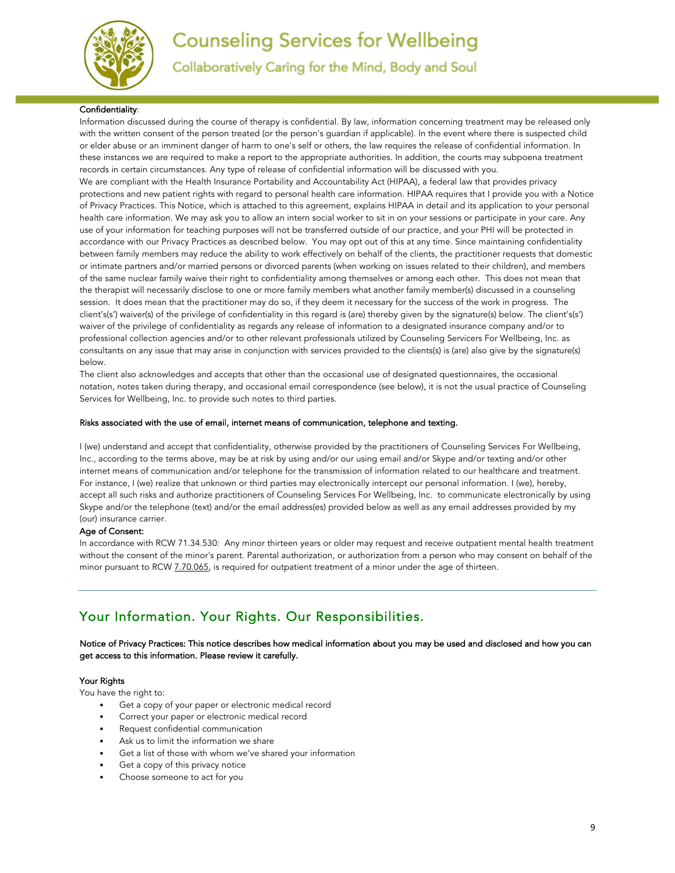

#### Confidentiality:

Information discussed during the course of therapy is confidential. By law, information concerning treatment may be released only with the written consent of the person treated (or the person's guardian if applicable). In the event where there is suspected child or elder abuse or an imminent danger of harm to one's self or others, the law requires the release of confidential information. In these instances we are required to make a report to the appropriate authorities. In addition, the courts may subpoena treatment records in certain circumstances. Any type of release of confidential information will be discussed with you. We are compliant with the Health Insurance Portability and Accountability Act (HIPAA), a federal law that provides privacy protections and new patient rights with regard to personal health care information. HIPAA requires that I provide you with a Notice of Privacy Practices. This Notice, which is attached to this agreement, explains HIPAA in detail and its application to your personal health care information. We may ask you to allow an intern social worker to sit in on your sessions or participate in your care. Any use of your information for teaching purposes will not be transferred outside of our practice, and your PHI will be protected in accordance with our Privacy Practices as described below. You may opt out of this at any time. Since maintaining confidentiality between family members may reduce the ability to work effectively on behalf of the clients, the practitioner requests that domestic or intimate partners and/or married persons or divorced parents (when working on issues related to their children), and members of the same nuclear family waive their right to confidentiality among themselves or among each other. This does not mean that the therapist will necessarily disclose to one or more family members what another family member(s) discussed in a counseling session. It does mean that the practitioner may do so, if they deem it necessary for the success of the work in progress. The client's(s') waiver(s) of the privilege of confidentiality in this regard is (are) thereby given by the signature(s) below. The client's(s') waiver of the privilege of confidentiality as regards any release of information to a designated insurance company and/or to professional collection agencies and/or to other relevant professionals utilized by Counseling Servicers For Wellbeing, Inc. as consultants on any issue that may arise in conjunction with services provided to the clients(s) is (are) also give by the signature(s) below.

The client also acknowledges and accepts that other than the occasional use of designated questionnaires, the occasional notation, notes taken during therapy, and occasional email correspondence (see below), it is not the usual practice of Counseling Services for Wellbeing, Inc. to provide such notes to third parties.

#### Risks associated with the use of email, internet means of communication, telephone and texting.

I (we) understand and accept that confidentiality, otherwise provided by the practitioners of Counseling Services For Wellbeing, Inc., according to the terms above, may be at risk by using and/or our using email and/or Skype and/or texting and/or other internet means of communication and/or telephone for the transmission of information related to our healthcare and treatment. For instance, I (we) realize that unknown or third parties may electronically intercept our personal information. I (we), hereby, accept all such risks and authorize practitioners of Counseling Services For Wellbeing, Inc. to communicate electronically by using Skype and/or the telephone (text) and/or the email address(es) provided below as well as any email addresses provided by my (our) insurance carrier.

#### Age of Consent:

In accordance with RCW 71.34.530: Any minor thirteen years or older may request and receive outpatient mental health treatment without the consent of the minor's parent. Parental authorization, or authorization from a person who may consent on behalf of the minor pursuant to RCW 7.70.065, is required for outpatient treatment of a minor under the age of thirteen.

## Your Information. Your Rights. Our Responsibilities.

Notice of Privacy Practices: This notice describes how medical information about you may be used and disclosed and how you can get access to this information. Please review it carefully.

#### Your Rights

You have the right to:

- Get a copy of your paper or electronic medical record
- Correct your paper or electronic medical record
- Request confidential communication
- Ask us to limit the information we share
- Get a list of those with whom we've shared your information
- Get a copy of this privacy notice
- Choose someone to act for you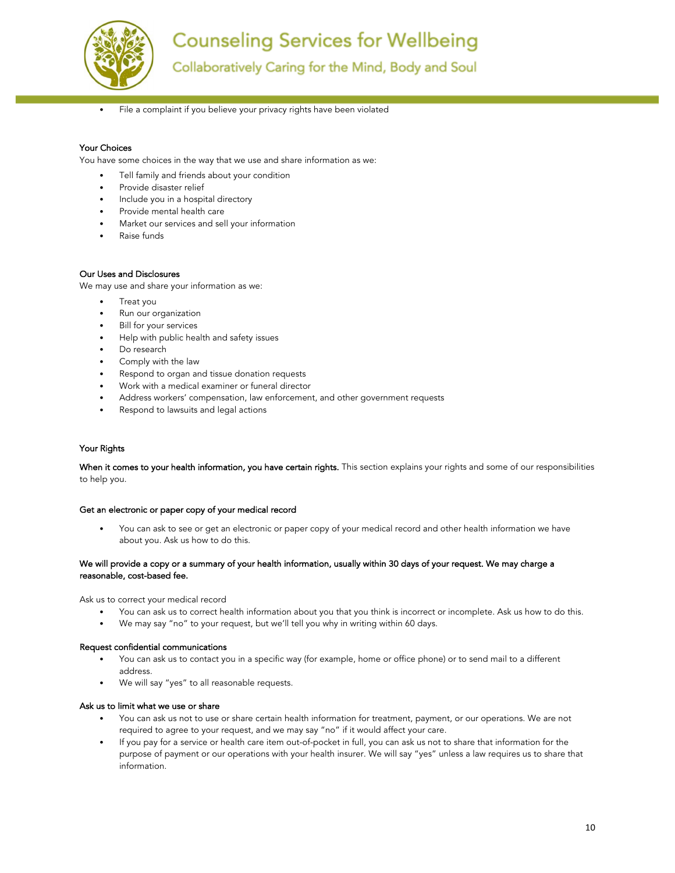

File a complaint if you believe your privacy rights have been violated

#### Your Choices

You have some choices in the way that we use and share information as we:

- Tell family and friends about your condition
- Provide disaster relief
- Include you in a hospital directory
- Provide mental health care
- Market our services and sell your information
- Raise funds

#### Our Uses and Disclosures

- We may use and share your information as we:
	- Treat you
	- Run our organization
	- Bill for your services
	- Help with public health and safety issues
	- Do research
	- Comply with the law
	- Respond to organ and tissue donation requests
	- Work with a medical examiner or funeral director
	- Address workers' compensation, law enforcement, and other government requests
	- Respond to lawsuits and legal actions

#### Your Rights

When it comes to your health information, you have certain rights. This section explains your rights and some of our responsibilities to help you.

#### Get an electronic or paper copy of your medical record

• You can ask to see or get an electronic or paper copy of your medical record and other health information we have about you. Ask us how to do this.

#### We will provide a copy or a summary of your health information, usually within 30 days of your request. We may charge a reasonable, cost-based fee.

Ask us to correct your medical record

- You can ask us to correct health information about you that you think is incorrect or incomplete. Ask us how to do this.
- We may say "no" to your request, but we'll tell you why in writing within 60 days.

#### Request confidential communications

- You can ask us to contact you in a specific way (for example, home or office phone) or to send mail to a different address.
- We will say "yes" to all reasonable requests.

#### Ask us to limit what we use or share

- You can ask us not to use or share certain health information for treatment, payment, or our operations. We are not required to agree to your request, and we may say "no" if it would affect your care.
- If you pay for a service or health care item out-of-pocket in full, you can ask us not to share that information for the purpose of payment or our operations with your health insurer. We will say "yes" unless a law requires us to share that information.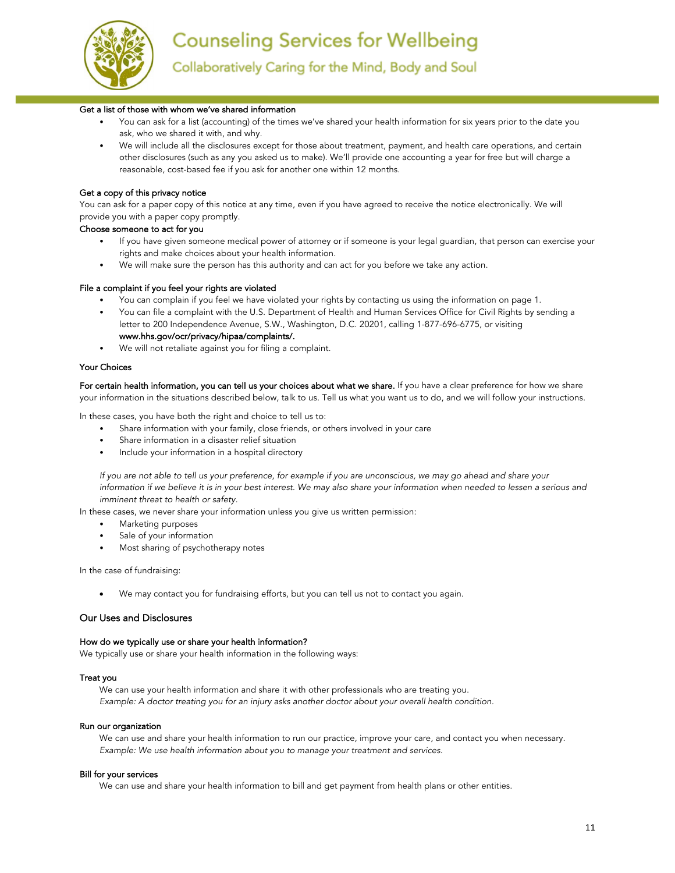

#### Get a list of those with whom we've shared information

- You can ask for a list (accounting) of the times we've shared your health information for six years prior to the date you ask, who we shared it with, and why.
- We will include all the disclosures except for those about treatment, payment, and health care operations, and certain other disclosures (such as any you asked us to make). We'll provide one accounting a year for free but will charge a reasonable, cost-based fee if you ask for another one within 12 months.

#### Get a copy of this privacy notice

You can ask for a paper copy of this notice at any time, even if you have agreed to receive the notice electronically. We will provide you with a paper copy promptly.

#### Choose someone to act for you

- If you have given someone medical power of attorney or if someone is your legal guardian, that person can exercise your rights and make choices about your health information.
- We will make sure the person has this authority and can act for you before we take any action.

#### File a complaint if you feel your rights are violated

- You can complain if you feel we have violated your rights by contacting us using the information on page 1.
- You can file a complaint with the U.S. Department of Health and Human Services Office for Civil Rights by sending a letter to 200 Independence Avenue, S.W., Washington, D.C. 20201, calling 1-877-696-6775, or visiting www.hhs.gov/ocr/privacy/hipaa/complaints/.
- We will not retaliate against you for filing a complaint.

#### Your Choices

For certain health information, you can tell us your choices about what we share. If you have a clear preference for how we share your information in the situations described below, talk to us. Tell us what you want us to do, and we will follow your instructions.

In these cases, you have both the right and choice to tell us to:

- Share information with your family, close friends, or others involved in your care
- Share information in a disaster relief situation
- Include your information in a hospital directory

*If you are not able to tell us your preference, for example if you are unconscious, we may go ahead and share your information if we believe it is in your best interest. We may also share your information when needed to lessen a serious and imminent threat to health or safety.*

In these cases, we never share your information unless you give us written permission:

- Marketing purposes
- Sale of your information
- Most sharing of psychotherapy notes

In the case of fundraising:

We may contact you for fundraising efforts, but you can tell us not to contact you again.

#### Our Uses and Disclosures

#### How do we typically use or share your health information?

We typically use or share your health information in the following ways:

#### Treat you

We can use your health information and share it with other professionals who are treating you. *Example: A doctor treating you for an injury asks another doctor about your overall health condition.*

#### Run our organization

We can use and share your health information to run our practice, improve your care, and contact you when necessary. *Example: We use health information about you to manage your treatment and services.* 

#### Bill for your services

We can use and share your health information to bill and get payment from health plans or other entities.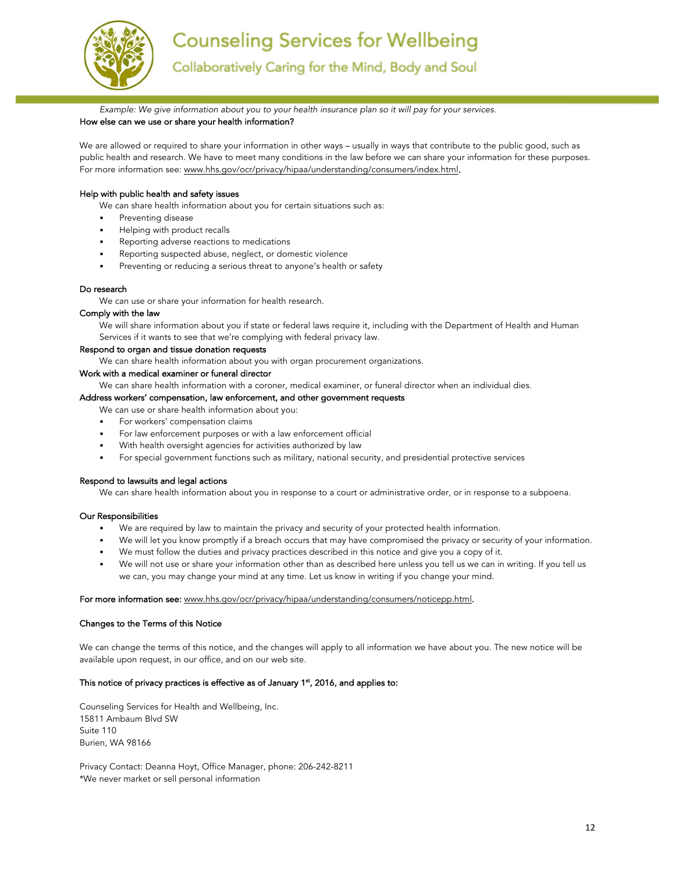

*Example: We give information about you to your health insurance plan so it will pay for your services.*  How else can we use or share your health information?

We are allowed or required to share your information in other ways – usually in ways that contribute to the public good, such as public health and research. We have to meet many conditions in the law before we can share your information for these purposes. For more information see: www.hhs.gov/ocr/privacy/hipaa/understanding/consumers/index.html.

#### Help with public health and safety issues

We can share health information about you for certain situations such as:

- Preventing disease
- Helping with product recalls
- Reporting adverse reactions to medications
- Reporting suspected abuse, neglect, or domestic violence
- Preventing or reducing a serious threat to anyone's health or safety

#### Do research

We can use or share your information for health research.

#### Comply with the law

We will share information about you if state or federal laws require it, including with the Department of Health and Human Services if it wants to see that we're complying with federal privacy law.

#### Respond to organ and tissue donation requests

We can share health information about you with organ procurement organizations.

#### Work with a medical examiner or funeral director

We can share health information with a coroner, medical examiner, or funeral director when an individual dies.

#### Address workers' compensation, law enforcement, and other government requests

- We can use or share health information about you:
- For workers' compensation claims
- For law enforcement purposes or with a law enforcement official
- With health oversight agencies for activities authorized by law
- For special government functions such as military, national security, and presidential protective services

#### Respond to lawsuits and legal actions

We can share health information about you in response to a court or administrative order, or in response to a subpoena.

#### Our Responsibilities

- We are required by law to maintain the privacy and security of your protected health information.
- We will let you know promptly if a breach occurs that may have compromised the privacy or security of your information.
- We must follow the duties and privacy practices described in this notice and give you a copy of it.
- We will not use or share your information other than as described here unless you tell us we can in writing. If you tell us we can, you may change your mind at any time. Let us know in writing if you change your mind.

#### For more information see: www.hhs.gov/ocr/privacy/hipaa/understanding/consumers/noticepp.html.

#### Changes to the Terms of this Notice

We can change the terms of this notice, and the changes will apply to all information we have about you. The new notice will be available upon request, in our office, and on our web site.

#### This notice of privacy practices is effective as of January 1<sup>st</sup>, 2016, and applies to:

Counseling Services for Health and Wellbeing, Inc. 15811 Ambaum Blvd SW Suite 110 Burien, WA 98166

Privacy Contact: Deanna Hoyt, Office Manager, phone: 206-242-8211 \*We never market or sell personal information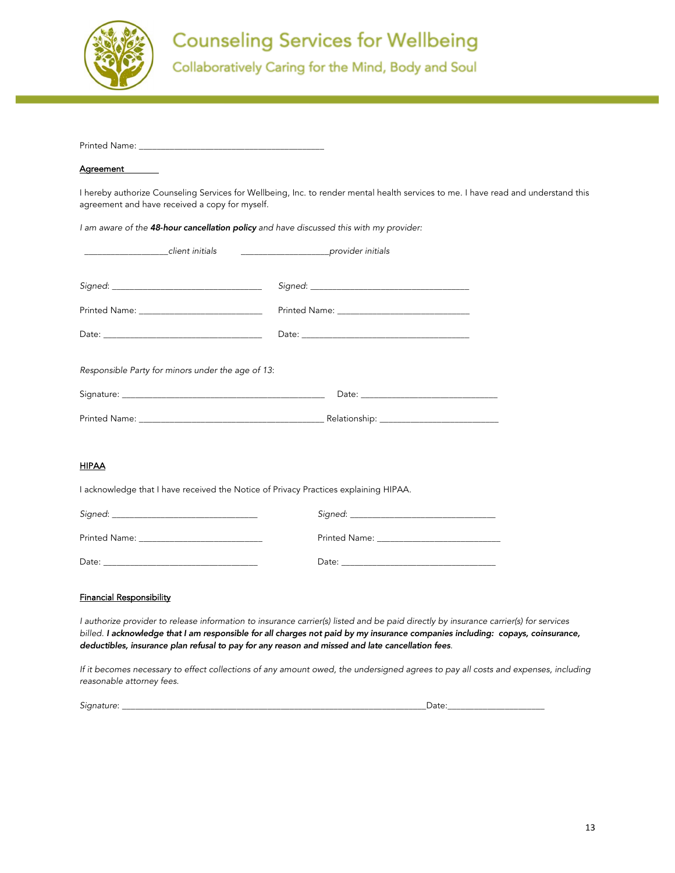

| <b>Agreement</b>                                                                                 |                                                                                                                                                                                                                                                                        |
|--------------------------------------------------------------------------------------------------|------------------------------------------------------------------------------------------------------------------------------------------------------------------------------------------------------------------------------------------------------------------------|
| agreement and have received a copy for myself.                                                   | I hereby authorize Counseling Services for Wellbeing, Inc. to render mental health services to me. I have read and understand this                                                                                                                                     |
| I am aware of the 48-hour cancellation policy and have discussed this with my provider:          |                                                                                                                                                                                                                                                                        |
| _______________________client initials                                                           | provider initials                                                                                                                                                                                                                                                      |
|                                                                                                  |                                                                                                                                                                                                                                                                        |
|                                                                                                  |                                                                                                                                                                                                                                                                        |
|                                                                                                  |                                                                                                                                                                                                                                                                        |
| Responsible Party for minors under the age of 13:                                                |                                                                                                                                                                                                                                                                        |
|                                                                                                  |                                                                                                                                                                                                                                                                        |
|                                                                                                  |                                                                                                                                                                                                                                                                        |
| <b>HIPAA</b>                                                                                     |                                                                                                                                                                                                                                                                        |
| I acknowledge that I have received the Notice of Privacy Practices explaining HIPAA.             |                                                                                                                                                                                                                                                                        |
|                                                                                                  |                                                                                                                                                                                                                                                                        |
|                                                                                                  |                                                                                                                                                                                                                                                                        |
|                                                                                                  |                                                                                                                                                                                                                                                                        |
| <b>Financial Responsibility</b>                                                                  |                                                                                                                                                                                                                                                                        |
| deductibles, insurance plan refusal to pay for any reason and missed and late cancellation fees. | I authorize provider to release information to insurance carrier(s) listed and be paid directly by insurance carrier(s) for services<br>billed. I acknowledge that I am responsible for all charges not paid by my insurance companies including: copays, coinsurance, |
| reasonable attorney fees.                                                                        | If it becomes necessary to effect collections of any amount owed, the undersigned agrees to pay all costs and expenses, including                                                                                                                                      |

*Signature*: \_\_\_\_\_\_\_\_\_\_\_\_\_\_\_\_\_\_\_\_\_\_\_\_\_\_\_\_\_\_\_\_\_\_\_\_\_\_\_\_\_\_\_\_\_\_\_\_\_\_\_\_\_\_\_\_\_\_\_\_\_\_\_\_\_\_\_\_\_Date:\_\_\_\_\_\_\_\_\_\_\_\_\_\_\_\_\_\_\_\_\_\_